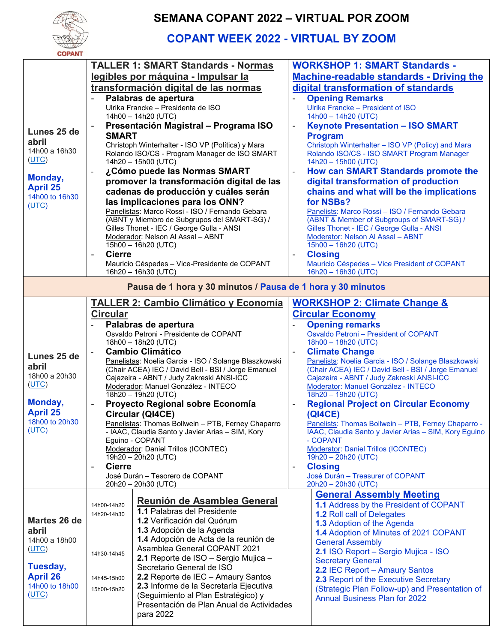

## **SEMANA COPANT 2022 – VIRTUAL POR ZOOM**

## **COPANT WEEK 2022 - VIRTUAL BY ZOOM**

| <b>COPANT</b>                                               |                                                                                                        |                                                                                                              |  |  |  |  |  |  |
|-------------------------------------------------------------|--------------------------------------------------------------------------------------------------------|--------------------------------------------------------------------------------------------------------------|--|--|--|--|--|--|
|                                                             | <b>TALLER 1: SMART Standards - Normas</b>                                                              | <b>WORKSHOP 1: SMART Standards -</b>                                                                         |  |  |  |  |  |  |
|                                                             | legibles por máquina - Impulsar la                                                                     | <b>Machine-readable standards - Driving the</b>                                                              |  |  |  |  |  |  |
|                                                             | transformación digital de las normas                                                                   | digital transformation of standards                                                                          |  |  |  |  |  |  |
|                                                             |                                                                                                        |                                                                                                              |  |  |  |  |  |  |
|                                                             | Palabras de apertura<br>Ulrika Francke - Presidenta de ISO                                             | <b>Opening Remarks</b><br>Ulrika Francke - President of ISO                                                  |  |  |  |  |  |  |
|                                                             | 14h00 - 14h20 (UTC)                                                                                    | 14h00 - 14h20 (UTC)                                                                                          |  |  |  |  |  |  |
|                                                             | Presentación Magistral - Programa ISO                                                                  | <b>Keynote Presentation - ISO SMART</b><br>$\blacksquare$                                                    |  |  |  |  |  |  |
| Lunes 25 de                                                 | <b>SMART</b>                                                                                           |                                                                                                              |  |  |  |  |  |  |
| abril                                                       | Christoph Winterhalter - ISO VP (Política) y Mara                                                      | <b>Program</b>                                                                                               |  |  |  |  |  |  |
| 14h00 a 16h30                                               | Rolando ISO/CS - Program Manager de ISO SMART                                                          | Christoph Winterhalter - ISO VP (Policy) and Mara<br>Rolando ISO/CS - ISO SMART Program Manager              |  |  |  |  |  |  |
| (UTC)                                                       | 14h20 - 15h00 (UTC)                                                                                    | 14h20 - 15h00 (UTC)                                                                                          |  |  |  |  |  |  |
|                                                             | ¿Cómo puede las Normas SMART                                                                           | <b>How can SMART Standards promote the</b>                                                                   |  |  |  |  |  |  |
| Monday,                                                     | promover la transformación digital de las                                                              | digital transformation of production                                                                         |  |  |  |  |  |  |
| <b>April 25</b>                                             |                                                                                                        |                                                                                                              |  |  |  |  |  |  |
| 14h00 to 16h30                                              | cadenas de producción y cuáles serán                                                                   | chains and what will be the implications                                                                     |  |  |  |  |  |  |
| (UTC)                                                       | las implicaciones para los ONN?                                                                        | for NSBs?                                                                                                    |  |  |  |  |  |  |
|                                                             | Panelistas: Marco Rossi - ISO / Fernando Gebara                                                        | Panelists: Marco Rossi - ISO / Fernando Gebara                                                               |  |  |  |  |  |  |
|                                                             | (ABNT y Miembro de Subgrupos del SMART-SG) /<br>Gilles Thonet - IEC / George Gulla - ANSI              | (ABNT & Member of Subgroups of SMART-SG) /                                                                   |  |  |  |  |  |  |
|                                                             | Moderador: Nelson Al Assal - ABNT                                                                      | Gilles Thonet - IEC / George Gulla - ANSI<br>Moderator: Nelson Al Assal - ABNT                               |  |  |  |  |  |  |
|                                                             | 15h00 - 16h20 (UTC)                                                                                    | 15h00 - 16h20 (UTC)                                                                                          |  |  |  |  |  |  |
|                                                             | <b>Cierre</b>                                                                                          | <b>Closing</b>                                                                                               |  |  |  |  |  |  |
|                                                             | Mauricio Céspedes - Vice-Presidente de COPANT                                                          | Mauricio Céspedes - Vice President of COPANT                                                                 |  |  |  |  |  |  |
|                                                             | 16h20 - 16h30 (UTC)                                                                                    | 16h20 - 16h30 (UTC)                                                                                          |  |  |  |  |  |  |
| Pausa de 1 hora y 30 minutos / Pausa de 1 hora y 30 minutos |                                                                                                        |                                                                                                              |  |  |  |  |  |  |
|                                                             |                                                                                                        |                                                                                                              |  |  |  |  |  |  |
|                                                             | <b>TALLER 2: Cambio Climático y Economía</b>                                                           | <b>WORKSHOP 2: Climate Change &amp;</b>                                                                      |  |  |  |  |  |  |
|                                                             | <b>Circular</b>                                                                                        | <b>Circular Economy</b>                                                                                      |  |  |  |  |  |  |
|                                                             | Palabras de apertura                                                                                   | <b>Opening remarks</b>                                                                                       |  |  |  |  |  |  |
|                                                             | Osvaldo Petroni - Presidente de COPANT                                                                 | Osvaldo Petroni - President of COPANT                                                                        |  |  |  |  |  |  |
|                                                             | 18h00 - 18h20 (UTC)                                                                                    | 18h00 - 18h20 (UTC)                                                                                          |  |  |  |  |  |  |
| Lunes 25 de                                                 | <b>Cambio Climático</b>                                                                                | <b>Climate Change</b>                                                                                        |  |  |  |  |  |  |
|                                                             | Panelistas: Noelia Garcia - ISO / Solange Blaszkowski                                                  | Panelists: Noelia Garcia - ISO / Solange Blaszkowski                                                         |  |  |  |  |  |  |
| abril                                                       | (Chair ACEA) IEC / David Bell - BSI / Jorge Emanuel                                                    | (Chair ACEA) IEC / David Bell - BSI / Jorge Emanuel                                                          |  |  |  |  |  |  |
| 18h00 a 20h30<br>(UTC)                                      | Cajazeira - ABNT / Judy Zakreski ANSI-ICC                                                              | Cajazeira - ABNT / Judy Zakreski ANSI-ICC                                                                    |  |  |  |  |  |  |
|                                                             | Moderador: Manuel González - INTECO                                                                    | Moderator: Manuel González - INTECO<br>18h20 - 19h20 (UTC)                                                   |  |  |  |  |  |  |
| Monday,                                                     | 18h20 - 19h20 (UTC)                                                                                    |                                                                                                              |  |  |  |  |  |  |
| <b>April 25</b>                                             | Proyecto Regional sobre Economía                                                                       | <b>Regional Project on Circular Economy</b>                                                                  |  |  |  |  |  |  |
| 18h00 to 20h30                                              | Circular (QI4CE)                                                                                       | <b>(QI4CE)</b>                                                                                               |  |  |  |  |  |  |
| <u>(UTC)</u>                                                | Panelistas: Thomas Bollwein - PTB, Ferney Chaparro<br>- IAAC, Claudia Santo y Javier Arias - SIM, Kory | Panelists: Thomas Bollwein - PTB, Ferney Chaparro -<br>IAAC, Claudia Santo y Javier Arias - SIM, Kory Eguino |  |  |  |  |  |  |
|                                                             | Eguino - COPANT                                                                                        | - COPANT                                                                                                     |  |  |  |  |  |  |
|                                                             | Moderador: Daniel Trillos (ICONTEC)                                                                    | <b>Moderator: Daniel Trillos (ICONTEC)</b>                                                                   |  |  |  |  |  |  |
|                                                             | 19h20 - 20h20 (UTC)                                                                                    | 19h20 - 20h20 (UTC)                                                                                          |  |  |  |  |  |  |
|                                                             | <b>Cierre</b><br>$\overline{\phantom{a}}$                                                              | <b>Closing</b><br>$\overline{\phantom{a}}$                                                                   |  |  |  |  |  |  |
|                                                             | José Durán - Tesorero de COPANT                                                                        | José Durán - Treasurer of COPANT                                                                             |  |  |  |  |  |  |
|                                                             | 20h20 - 20h30 (UTC)                                                                                    | 20h20 - 20h30 (UTC)                                                                                          |  |  |  |  |  |  |
|                                                             | Reunión de Asamblea General                                                                            | <u>General Assembly Meeting</u>                                                                              |  |  |  |  |  |  |
|                                                             | 14h00-14h20                                                                                            | 1.1 Address by the President of COPANT                                                                       |  |  |  |  |  |  |
| Martes 26 de                                                | <b>1.1 Palabras del Presidente</b><br>14h20-14h30                                                      | <b>1.2 Roll call of Delegates</b>                                                                            |  |  |  |  |  |  |
|                                                             | 1.2 Verificación del Quórum                                                                            | <b>1.3 Adoption of the Agenda</b>                                                                            |  |  |  |  |  |  |
| abril                                                       | 1.3 Adopción de la Agenda                                                                              | 1.4 Adoption of Minutes of 2021 COPANT                                                                       |  |  |  |  |  |  |
| 14h00 a 18h00                                               | 1.4 Adopción de Acta de la reunión de                                                                  | <b>General Assembly</b>                                                                                      |  |  |  |  |  |  |
| (UTC)                                                       | Asamblea General COPANT 2021<br>14h30-14h45                                                            | 2.1 ISO Report - Sergio Mujica - ISO                                                                         |  |  |  |  |  |  |
|                                                             | 2.1 Reporte de ISO - Sergio Mujica -                                                                   | <b>Secretary General</b>                                                                                     |  |  |  |  |  |  |
| Tuesday,                                                    | Secretario General de ISO                                                                              | 2.2 IEC Report - Amaury Santos                                                                               |  |  |  |  |  |  |
| <b>April 26</b>                                             | 2.2 Reporte de IEC - Amaury Santos<br>14h45-15h00                                                      | 2.3 Report of the Executive Secretary                                                                        |  |  |  |  |  |  |
| 14h00 to 18h00<br>(UTC)                                     | 2.3 Informe de la Secretaría Ejecutiva<br>15h00-15h20                                                  | (Strategic Plan Follow-up) and Presentation of                                                               |  |  |  |  |  |  |
|                                                             | (Seguimiento al Plan Estratégico) y                                                                    | <b>Annual Business Plan for 2022</b>                                                                         |  |  |  |  |  |  |
|                                                             | Presentación de Plan Anual de Actividades                                                              |                                                                                                              |  |  |  |  |  |  |
|                                                             | para 2022                                                                                              |                                                                                                              |  |  |  |  |  |  |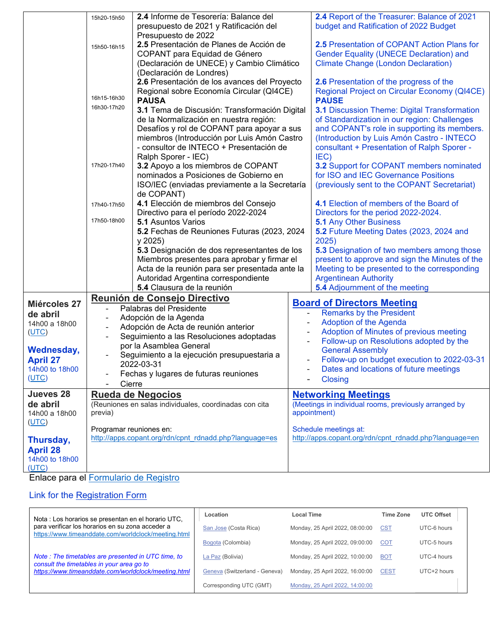|                   | 15h20-15h50                                                                                   | 2.4 Informe de Tesorería: Balance del                          |              | 2.4 Report of the Treasurer: Balance of 2021           |  |  |
|-------------------|-----------------------------------------------------------------------------------------------|----------------------------------------------------------------|--------------|--------------------------------------------------------|--|--|
|                   |                                                                                               | presupuesto de 2021 y Ratificación del                         |              | budget and Ratification of 2022 Budget                 |  |  |
|                   |                                                                                               |                                                                |              |                                                        |  |  |
|                   |                                                                                               | Presupuesto de 2022<br>2.5 Presentación de Planes de Acción de |              | 2.5 Presentation of COPANT Action Plans for            |  |  |
|                   | 15h50-16h15                                                                                   | COPANT para Equidad de Género                                  |              |                                                        |  |  |
|                   |                                                                                               |                                                                |              | <b>Gender Equality (UNECE Declaration) and</b>         |  |  |
|                   |                                                                                               | (Declaración de UNECE) y Cambio Climático                      |              | <b>Climate Change (London Declaration)</b>             |  |  |
|                   |                                                                                               | (Declaración de Londres)                                       |              |                                                        |  |  |
|                   |                                                                                               | 2.6 Presentación de los avances del Proyecto                   |              | 2.6 Presentation of the progress of the                |  |  |
|                   | Regional sobre Economía Circular (QI4CE)<br>16h15-16h30                                       |                                                                |              | Regional Project on Circular Economy (QI4CE)           |  |  |
|                   | 16h30-17h20                                                                                   | <b>PAUSA</b>                                                   |              | <b>PAUSE</b>                                           |  |  |
|                   |                                                                                               | 3.1 Tema de Discusión: Transformación Digital                  |              | <b>3.1 Discussion Theme: Digital Transformation</b>    |  |  |
|                   |                                                                                               | de la Normalización en nuestra región:                         |              | of Standardization in our region: Challenges           |  |  |
|                   |                                                                                               | Desafíos y rol de COPANT para apoyar a sus                     |              | and COPANT's role in supporting its members.           |  |  |
|                   |                                                                                               | miembros (Introducción por Luis Amón Castro                    |              | (Introduction by Luis Amón Castro - INTECO             |  |  |
|                   |                                                                                               | - consultor de INTECO + Presentación de                        |              | consultant + Presentation of Ralph Sporer -            |  |  |
|                   |                                                                                               | Ralph Sporer - IEC)                                            |              | IEC)                                                   |  |  |
|                   | 17h20-17h40                                                                                   | 3.2 Apoyo a los miembros de COPANT                             |              | 3.2 Support for COPANT members nominated               |  |  |
|                   |                                                                                               | nominados a Posiciones de Gobierno en                          |              | for ISO and IEC Governance Positions                   |  |  |
|                   |                                                                                               | ISO/IEC (enviadas previamente a la Secretaría                  |              | (previously sent to the COPANT Secretariat)            |  |  |
|                   |                                                                                               | de COPANT)                                                     |              |                                                        |  |  |
|                   | 17h40-17h50                                                                                   | 4.1 Elección de miembros del Consejo                           |              | 4.1 Election of members of the Board of                |  |  |
|                   |                                                                                               | Directivo para el período 2022-2024                            |              | Directors for the period 2022-2024.                    |  |  |
|                   | 17h50-18h00                                                                                   | <b>5.1 Asuntos Varios</b>                                      |              | <b>5.1 Any Other Business</b>                          |  |  |
|                   |                                                                                               | 5.2 Fechas de Reuniones Futuras (2023, 2024                    |              | 5.2 Future Meeting Dates (2023, 2024 and               |  |  |
|                   |                                                                                               | y 2025                                                         |              | 2025)                                                  |  |  |
|                   |                                                                                               | 5.3 Designación de dos representantes de los                   |              | 5.3 Designation of two members among those             |  |  |
|                   |                                                                                               | Miembros presentes para aprobar y firmar el                    |              | present to approve and sign the Minutes of the         |  |  |
|                   |                                                                                               | Acta de la reunión para ser presentada ante la                 |              | Meeting to be presented to the corresponding           |  |  |
|                   |                                                                                               | Autoridad Argentina correspondiente                            |              | <b>Argentinean Authority</b>                           |  |  |
|                   |                                                                                               | 5.4 Clausura de la reunión                                     |              | <b>5.4</b> Adjournment of the meeting                  |  |  |
|                   |                                                                                               | Reunión de Consejo Directivo                                   |              |                                                        |  |  |
| Miércoles 27      |                                                                                               | Palabras del Presidente                                        |              | <b>Board of Directors Meeting</b>                      |  |  |
| de abril          | -                                                                                             | Adopción de la Agenda                                          |              | <b>Remarks by the President</b>                        |  |  |
| 14h00 a 18h00     |                                                                                               |                                                                |              | <b>Adoption of the Agenda</b>                          |  |  |
| (UTC)             | Adopción de Acta de reunión anterior<br>Seguimiento a las Resoluciones adoptadas              |                                                                |              | Adoption of Minutes of previous meeting                |  |  |
|                   |                                                                                               | por la Asamblea General                                        |              | Follow-up on Resolutions adopted by the                |  |  |
| <b>Wednesday,</b> |                                                                                               |                                                                |              | <b>General Assembly</b>                                |  |  |
| <b>April 27</b>   |                                                                                               | Seguimiento a la ejecución presupuestaria a<br>2022-03-31      |              | Follow-up on budget execution to 2022-03-31            |  |  |
| 14h00 to 18h00    |                                                                                               |                                                                |              | Dates and locations of future meetings                 |  |  |
| (UTC)             |                                                                                               | Fechas y lugares de futuras reuniones                          |              | <b>Closing</b>                                         |  |  |
|                   | Cierre                                                                                        |                                                                |              |                                                        |  |  |
| Jueves 28         | <b>Rueda de Negocios</b><br>(Reuniones en salas individuales, coordinadas con cita<br>previa) |                                                                |              | <b>Networking Meetings</b>                             |  |  |
| de abril          |                                                                                               |                                                                |              | (Meetings in individual rooms, previously arranged by  |  |  |
| 14h00 a 18h00     |                                                                                               |                                                                | appointment) |                                                        |  |  |
| (UTC)             |                                                                                               |                                                                |              | Schedule meetings at:                                  |  |  |
|                   | Programar reuniones en:<br>http://apps.copant.org/rdn/cpnt_rdnadd.php?language=es             |                                                                |              | http://apps.copant.org/rdn/cpnt_rdnadd.php?language=en |  |  |
| Thursday,         |                                                                                               |                                                                |              |                                                        |  |  |
| <b>April 28</b>   |                                                                                               |                                                                |              |                                                        |  |  |
| 14h00 to 18h00    |                                                                                               |                                                                |              |                                                        |  |  |
| (UTC)             |                                                                                               |                                                                |              |                                                        |  |  |

Enlace para el [Formulario de Registro](https://docs.google.com/forms/d/e/1FAIpQLSfUzMvxC1lpsM2FqEgspU3h74tmUkI26YEfTCoyd9vXxyvoLw/viewform) 

## Link for the [Registration Form](https://docs.google.com/forms/d/e/1FAIpQLSfUzMvxC1lpsM2FqEgspU3h74tmUkI26YEfTCoyd9vXxyvoLw/viewform)

| Nota : Los horarios se presentan en el horario UTC,                                                     | Location                      | <b>Local Time</b>               | <b>Time Zone</b> | <b>UTC Offset</b> |
|---------------------------------------------------------------------------------------------------------|-------------------------------|---------------------------------|------------------|-------------------|
| para verificar los horarios en su zona acceder a<br>https://www.timeanddate.com/worldclock/meeting.html | San Jose (Costa Rica)         | Monday, 25 April 2022, 08:00:00 | <b>CST</b>       | UTC-6 hours       |
|                                                                                                         | Bogota (Colombia)             | Monday, 25 April 2022, 09:00:00 | <b>COT</b>       | UTC-5 hours       |
| Note: The timetables are presented in UTC time, to<br>consult the timetables in your area go to         | La Paz (Bolivia)              | Monday, 25 April 2022, 10:00:00 | <b>BOT</b>       | UTC-4 hours       |
| https://www.timeanddate.com/worldclock/meeting.html                                                     | Geneva (Switzerland - Geneva) | Monday, 25 April 2022, 16:00:00 | <b>CEST</b>      | UTC+2 hours       |
|                                                                                                         | Corresponding UTC (GMT)       | Monday, 25 April 2022, 14:00:00 |                  |                   |